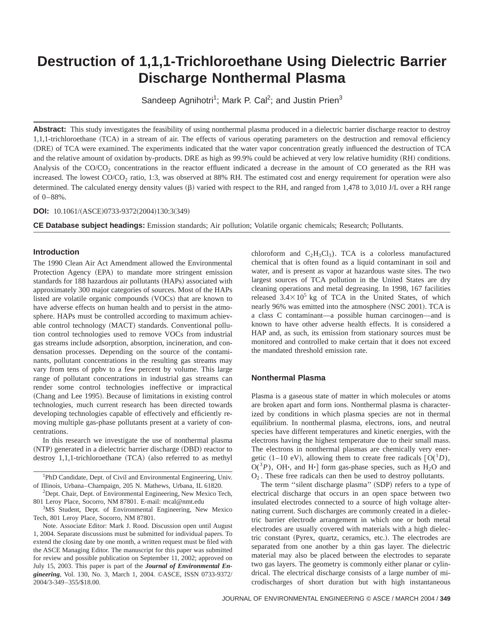# **Destruction of 1,1,1-Trichloroethane Using Dielectric Barrier Discharge Nonthermal Plasma**

Sandeep Agnihotri<sup>1</sup>; Mark P. Cal<sup>2</sup>; and Justin Prien<sup>3</sup>

Abstract: This study investigates the feasibility of using nonthermal plasma produced in a dielectric barrier discharge reactor to destroy 1,1,1-trichloroethane (TCA) in a stream of air. The effects of various operating parameters on the destruction and removal efficiency (DRE) of TCA were examined. The experiments indicated that the water vapor concentration greatly influenced the destruction of TCA and the relative amount of oxidation by-products. DRE as high as 99.9% could be achieved at very low relative humidity (RH) conditions. Analysis of the  $CO/CO<sub>2</sub>$  concentrations in the reactor effluent indicated a decrease in the amount of CO generated as the RH was increased. The lowest  $CO/CO<sub>2</sub>$  ratio, 1:3, was observed at 88% RH. The estimated cost and energy requirement for operation were also determined. The calculated energy density values  $(\beta)$  varied with respect to the RH, and ranged from 1,478 to 3,010 J/L over a RH range of 0–88%.

#### **DOI:** 10.1061/(ASCE)0733-9372(2004)130:3(349)

**CE Database subject headings:** Emission standards; Air pollution; Volatile organic chemicals; Research; Pollutants.

#### **Introduction**

The 1990 Clean Air Act Amendment allowed the Environmental Protection Agency (EPA) to mandate more stringent emission standards for 188 hazardous air pollutants (HAPs) associated with approximately 300 major categories of sources. Most of the HAPs listed are volatile organic compounds (VOCs) that are known to have adverse effects on human health and to persist in the atmosphere. HAPs must be controlled according to maximum achievable control technology (MACT) standards. Conventional pollution control technologies used to remove VOCs from industrial gas streams include adsorption, absorption, incineration, and condensation processes. Depending on the source of the contaminants, pollutant concentrations in the resulting gas streams may vary from tens of ppbv to a few percent by volume. This large range of pollutant concentrations in industrial gas streams can render some control technologies ineffective or impractical (Chang and Lee 1995). Because of limitations in existing control technologies, much current research has been directed towards developing technologies capable of effectively and efficiently removing multiple gas-phase pollutants present at a variety of concentrations.

In this research we investigate the use of nonthermal plasma (NTP) generated in a dielectric barrier discharge (DBD) reactor to destroy  $1,1,1$ -trichloroethane  $(TCA)$  (also referred to as methyl

<sup>1</sup>PhD Candidate, Dept. of Civil and Environmental Engineering, Univ. of Illinois, Urbana–Champaign, 205 N. Mathews, Urbana, IL 61820.

<sup>2</sup>Dept. Chair, Dept. of Environmental Engineering, New Mexico Tech, 801 Leroy Place, Socorro, NM 87801. E-mail: mcal@nmt.edu

<sup>3</sup>MS Student, Dept. of Environmental Engineering, New Mexico Tech, 801 Leroy Place, Socorro, NM 87801.

Note. Associate Editor: Mark J. Rood. Discussion open until August 1, 2004. Separate discussions must be submitted for individual papers. To extend the closing date by one month, a written request must be filed with the ASCE Managing Editor. The manuscript for this paper was submitted for review and possible publication on September 11, 2002; approved on July 15, 2003. This paper is part of the *Journal of Environmental Engineering*, Vol. 130, No. 3, March 1, 2004. ©ASCE, ISSN 0733-9372/ 2004/3-349–355/\$18.00.

chloroform and  $C_2H_3Cl_3$ . TCA is a colorless manufactured chemical that is often found as a liquid contaminant in soil and water, and is present as vapor at hazardous waste sites. The two largest sources of TCA pollution in the United States are dry cleaning operations and metal degreasing. In 1998, 167 facilities released  $3.4\times10^5$  kg of TCA in the United States, of which nearly 96% was emitted into the atmosphere (NSC 2001). TCA is a class C contaminant—a possible human carcinogen—and is known to have other adverse health effects. It is considered a HAP and, as such, its emission from stationary sources must be monitored and controlled to make certain that it does not exceed the mandated threshold emission rate.

#### **Nonthermal Plasma**

Plasma is a gaseous state of matter in which molecules or atoms are broken apart and form ions. Nonthermal plasma is characterized by conditions in which plasma species are not in thermal equilibrium. In nonthermal plasma, electrons, ions, and neutral species have different temperatures and kinetic energies, with the electrons having the highest temperature due to their small mass. The electrons in nonthermal plasmas are chemically very energetic (1–10 eV), allowing them to create free radicals  $[O(^{1}D),$  $O(^3P)$ , OH $\cdot$ , and H $\cdot$ <sup>†</sup> form gas-phase species, such as H<sub>2</sub>O and  $O<sub>2</sub>$ . These free radicals can then be used to destroy pollutants.

The term "silent discharge plasma" (SDP) refers to a type of electrical discharge that occurs in an open space between two insulated electrodes connected to a source of high voltage alternating current. Such discharges are commonly created in a dielectric barrier electrode arrangement in which one or both metal electrodes are usually covered with materials with a high dielectric constant (Pyrex, quartz, ceramics, etc.). The electrodes are separated from one another by a thin gas layer. The dielectric material may also be placed between the electrodes to separate two gas layers. The geometry is commonly either planar or cylindrical. The electrical discharge consists of a large number of microdischarges of short duration but with high instantaneous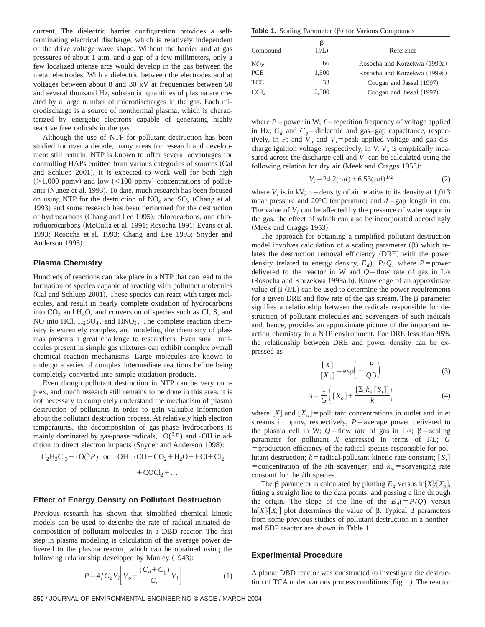current. The dielectric barrier configuration provides a selfterminating electrical discharge, which is relatively independent of the drive voltage wave shape. Without the barrier and at gas pressures of about 1 atm. and a gap of a few millimeters, only a few localized intense arcs would develop in the gas between the metal electrodes. With a dielectric between the electrodes and at voltages between about 8 and 30 kV at frequencies between 50 and several thousand Hz, substantial quantities of plasma are created by a large number of microdischarges in the gas. Each microdischarge is a source of nonthermal plasma, which is characterized by energetic electrons capable of generating highly reactive free radicals in the gas.

Although the use of NTP for pollutant destruction has been studied for over a decade, many areas for research and development still remain. NTP is known to offer several advantages for controlling HAPs emitted from various categories of sources (Cal and Schluep 2001). It is expected to work well for both high  $(>1,000 \text{ ppmv})$  and low  $(<100 \text{ ppmv})$  concentrations of pollutants (Nunez et al. 1993). To date, much research has been focused on using NTP for the destruction of  $NO_x$  and  $SO_x$  (Chang et al. 1993) and some research has been performed for the destruction of hydrocarbons (Chang and Lee 1995); chlorocarbons, and chlorofluorocarbons (McCulla et al. 1991; Rosocha 1991; Evans et al. 1993; Rosocha et al. 1993; Chang and Lee 1995; Snyder and Anderson 1998).

## **Plasma Chemistry**

Hundreds of reactions can take place in a NTP that can lead to the formation of species capable of reacting with pollutant molecules (Cal and Schluep 2001). These species can react with target molecules, and result in nearly complete oxidation of hydrocarbons into  $CO<sub>2</sub>$  and  $H<sub>2</sub>O$ , and conversion of species such as Cl, S, and NO into HCl,  $H_2SO_4$ , and  $HNO_3$ . The complete reaction chemistry is extremely complex, and modeling the chemistry of plasmas presents a great challenge to researchers. Even small molecules present in simple gas mixtures can exhibit complex overall chemical reaction mechanisms. Large molecules are known to undergo a series of complex intermediate reactions before being completely converted into simple oxidation products.

Even though pollutant destruction in NTP can be very complex, and much research still remains to be done in this area, it is not necessary to completely understand the mechanism of plasma destruction of pollutants in order to gain valuable information about the pollutant destruction process. At relatively high electron temperatures, the decomposition of gas-phase hydrocarbons is mainly dominated by gas-phase radicals,  $\cdot O(^3P)$  and  $\cdot OH$  in addition to direct electron impacts (Snyder and Anderson 1998):

$$
C_2H_3Cl_3 + \cdot O(^3P)
$$
 or  $\cdot OH \rightarrow CO + CO_2 + H_2O + HCl + Cl_2$   
+  $COCl_2 + ...$ 

#### **Effect of Energy Density on Pollutant Destruction**

Previous research has shown that simplified chemical kinetic models can be used to describe the rate of radical-initiated decomposition of pollutant molecules in a DBD reactor. The first step in plasma modeling is calculation of the average power delivered to the plasma reactor, which can be obtained using the following relationship developed by Manley  $(1943)$ :

$$
P = 4f C_d V_i \bigg[ V_o - \frac{(C_d + C_g)}{C_d} V_i \bigg]
$$
 (1)

**Table 1.** Scaling Parameter  $(\beta)$  for Various Compounds

| Compound       | β<br>(J/L) | Reference                    |
|----------------|------------|------------------------------|
| $NO_{x}$       | 66         | Rosocha and Korzekwa (1999a) |
| PCE            | 1,500      | Rosocha and Korzekwa (1999a) |
| TCE            | 33         | Coogan and Jassal (1997)     |
| $\text{CCL}_4$ | 2,500      | Coogan and Jassal (1997)     |

where  $P =$  power in W;  $f =$  repetition frequency of voltage applied in Hz;  $C_d$  and  $C_g$ =dielectric and gas–gap capacitance, respectively, in F; and  $V_0$  and  $V_i$ = peak applied voltage and gas discharge ignition voltage, respectively, in V.  $V<sub>o</sub>$  is empirically measured across the discharge cell and  $V_i$  can be calculated using the following relation for dry air (Meek and Craggs 1953):

$$
V_i = 24.2(\rho d) + 6.53(\rho d)^{1/2} \tag{2}
$$

where  $V_i$  is in kV;  $\rho$  = density of air relative to its density at 1,013 mbar pressure and 20 $^{\circ}$ C temperature; and  $d =$ gap length in cm. The value of *V<sub>i</sub>* can be affected by the presence of water vapor in the gas, the effect of which can also be incorporated accordingly (Meek and Craggs 1953).

The approach for obtaining a simplified pollutant destruction model involves calculation of a scaling parameter  $(\beta)$  which relates the destruction removal efficiency (DRE) with the power density (related to energy density,  $E_d$ ),  $P/Q$ , where  $P =$  power delivered to the reactor in W and  $Q =$  flow rate of gas in L/s (Rosocha and Korzekwa 1999a,b). Knowledge of an approximate value of  $\beta$  (J/L) can be used to determine the power requirements for a given DRE and flow rate of the gas stream. The  $\beta$  parameter signifies a relationship between the radicals responsible for destruction of pollutant molecules and scavengers of such radicals and, hence, provides an approximate picture of the important reaction chemistry in a NTP environment. For DRE less than 95% the relationship between DRE and power density can be expressed as

$$
\frac{[X]}{[X_o]} = \exp\left(-\frac{P}{Q\beta}\right)
$$
 (3)

$$
\beta = \frac{1}{G} \left( [X_o] + \frac{\{\Sigma_i k_{si} [S_i] \}}{k} \right) \tag{4}
$$

where  $[X]$  and  $[X_0]$  = pollutant concentrations in outlet and inlet streams in ppmv, respectively;  $P=$ average power delivered to the plasma cell in W;  $Q = flow$  rate of gas in L/s;  $\beta = scaling$ parameter for pollutant *X* expressed in terms of J/L; *G*  $=$  production efficiency of the radical species responsible for pollutant destruction;  $k$ = radical-pollutant kinetic rate constant;  $[S_i]$ = concentration of the *i*th scavenger; and  $k_{si}$ = scavenging rate constant for the *i*th species.

The  $\beta$  parameter is calculated by plotting  $E_d$  versus ln[*X*|/[*X<sub>o</sub>*], fitting a straight line to the data points, and passing a line through the origin. The slope of the line of the  $E_d(=P/Q)$  versus  $\ln[X]/[X_{o}]$  plot determines the value of  $\beta$ . Typical  $\beta$  parameters from some previous studies of pollutant destruction in a nonthermal SDP reactor are shown in Table 1.

#### **Experimental Procedure**

A planar DBD reactor was constructed to investigate the destruction of TCA under various process conditions  $(Fig. 1)$ . The reactor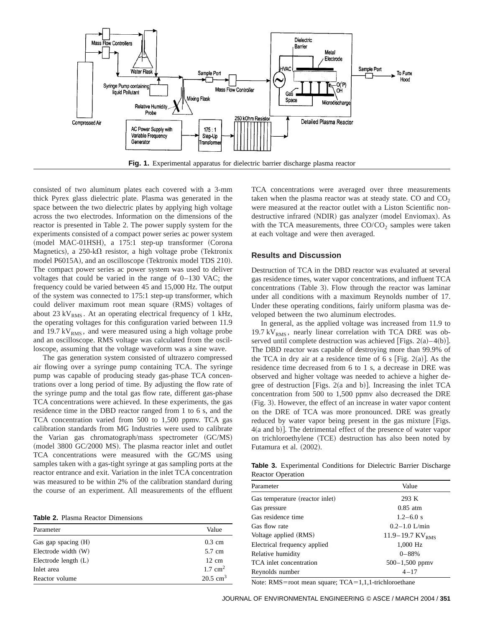

consisted of two aluminum plates each covered with a 3-mm thick Pyrex glass dielectric plate. Plasma was generated in the space between the two dielectric plates by applying high voltage across the two electrodes. Information on the dimensions of the reactor is presented in Table 2. The power supply system for the experiments consisted of a compact power series ac power system (model MAC-01HSH), a 175:1 step-up transformer (Corona Magnetics), a 250-k $\Omega$  resistor, a high voltage probe (Tektronix model P6015A), and an oscilloscope (Tektronix model TDS 210). The compact power series ac power system was used to deliver voltages that could be varied in the range of 0–130 VAC; the frequency could be varied between 45 and 15,000 Hz. The output of the system was connected to 175:1 step-up transformer, which could deliver maximum root mean square (RMS) voltages of about 23 kV<sub>RMS</sub>. At an operating electrical frequency of 1 kHz, the operating voltages for this configuration varied between 11.9 and 19.7 kV $_{RMS}$ , and were measured using a high voltage probe and an oscilloscope. RMS voltage was calculated from the oscilloscope, assuming that the voltage waveform was a sine wave.

The gas generation system consisted of ultrazero compressed air flowing over a syringe pump containing TCA. The syringe pump was capable of producing steady gas-phase TCA concentrations over a long period of time. By adjusting the flow rate of the syringe pump and the total gas flow rate, different gas-phase TCA concentrations were achieved. In these experiments, the gas residence time in the DBD reactor ranged from 1 to 6 s, and the TCA concentration varied from 500 to 1,500 ppmv. TCA gas calibration standards from MG Industries were used to calibrate the Varian gas chromatograph/mass spectrometer (GC/MS) (model 3800 GC/2000 MS). The plasma reactor inlet and outlet TCA concentrations were measured with the GC/MS using samples taken with a gas-tight syringe at gas sampling ports at the reactor entrance and exit. Variation in the inlet TCA concentration was measured to be within 2% of the calibration standard during the course of an experiment. All measurements of the effluent

**Table 2.** Plasma Reactor Dimensions

| Parameter              | Value               |
|------------------------|---------------------|
| Gas gap spacing (H)    | $0.3 \text{ cm}$    |
| Electrode width (W)    | 5.7 cm              |
| Electrode length $(L)$ | $12 \text{ cm}$     |
| Inlet area             | $1.7 \text{ cm}^2$  |
| Reactor volume         | $20.5 \text{ cm}^3$ |

TCA concentrations were averaged over three measurements taken when the plasma reactor was at steady state. CO and  $CO<sub>2</sub>$ were measured at the reactor outlet with a Liston Scientific nondestructive infrared (NDIR) gas analyzer (model Enviomax). As with the TCA measurements, three  $CO/CO<sub>2</sub>$  samples were taken at each voltage and were then averaged.

#### **Results and Discussion**

Destruction of TCA in the DBD reactor was evaluated at several gas residence times, water vapor concentrations, and influent TCA concentrations (Table 3). Flow through the reactor was laminar under all conditions with a maximum Reynolds number of 17. Under these operating conditions, fairly uniform plasma was developed between the two aluminum electrodes.

In general, as the applied voltage was increased from 11.9 to 19.7 kV<sub>RMS</sub>, nearly linear correlation with TCA DRE was observed until complete destruction was achieved [Figs.  $2(a) - 4(b)$ ]. The DBD reactor was capable of destroying more than 99.9% of the TCA in dry air at a residence time of 6 s [Fig. 2(a)]. As the residence time decreased from 6 to 1 s, a decrease in DRE was observed and higher voltage was needed to achieve a higher degree of destruction [Figs.  $2(a$  and b]]. Increasing the inlet TCA concentration from 500 to 1,500 ppmv also decreased the DRE ~Fig. 3!. However, the effect of an increase in water vapor content on the DRE of TCA was more pronounced. DRE was greatly reduced by water vapor being present in the gas mixture [Figs.  $4(a \text{ and } b)$ . The detrimental effect of the presence of water vapor on trichloroethylene (TCE) destruction has also been noted by Futamura et al.  $(2002)$ .

**Table 3.** Experimental Conditions for Dielectric Barrier Discharge Reactor Operation

| Parameter                       | Value                           |
|---------------------------------|---------------------------------|
| Gas temperature (reactor inlet) | 293 K                           |
| Gas pressure                    | $0.85$ atm                      |
| Gas residence time              | $1.2 - 6.0 s$                   |
| Gas flow rate                   | $0.2 - 1.0$ L/min               |
| Voltage applied (RMS)           | $11.9 - 19.7$ KV <sub>RMS</sub> |
| Electrical frequency applied    | 1,000 Hz                        |
| Relative humidity               | $0 - 88%$                       |
| TCA inlet concentration         | $500 - 1,500$ ppmy              |
| Reynolds number                 | $4 - 17$                        |

Note: RMS=root mean square;  $TCA=1,1,1$ -trichloroethane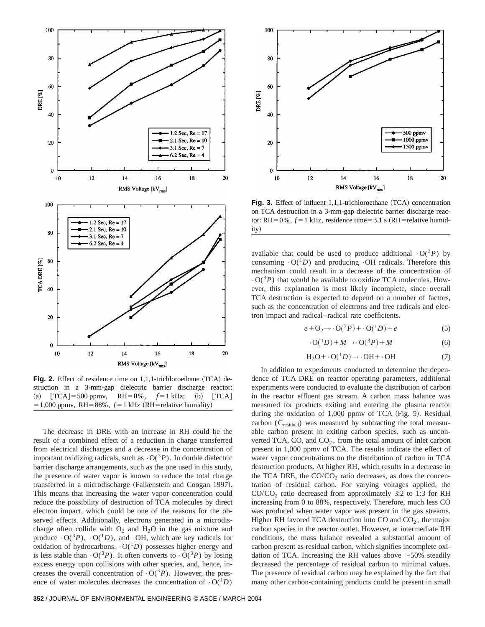

Fig. 2. Effect of residence time on 1,1,1-trichloroethane (TCA) destruction in a 3-mm-gap dielectric barrier discharge reactor: (a)  $\text{TCA} = 500 \text{ ppmv}$ ,  $\text{RH} = 0\%$ ,  $f = 1 \text{ kHz}$ ; (b)  $\text{TCA}$  $=1,000$  ppmv, RH=88%,  $f=1$  kHz (RH=relative humidity)

The decrease in DRE with an increase in RH could be the result of a combined effect of a reduction in charge transferred from electrical discharges and a decrease in the concentration of important oxidizing radicals, such as  $\cdot O({}^3P)$ . In double dielectric barrier discharge arrangements, such as the one used in this study, the presence of water vapor is known to reduce the total charge transferred in a microdischarge (Falkenstein and Coogan 1997). This means that increasing the water vapor concentration could reduce the possibility of destruction of TCA molecules by direct electron impact, which could be one of the reasons for the observed effects. Additionally, electrons generated in a microdischarge often collide with  $O_2$  and  $H_2O$  in the gas mixture and produce  $\cdot O({}^3P)$ ,  $\cdot O({}^1D)$ , and  $\cdot OH$ , which are key radicals for oxidation of hydrocarbons.  $\cdot O(^1D)$  possesses higher energy and is less stable than  $\cdot O({}^3P)$ . It often converts to  $\cdot O({}^3P)$  by losing excess energy upon collisions with other species, and, hence, increases the overall concentration of  $\cdot O({}^{3}P)$ . However, the presence of water molecules decreases the concentration of  $\cdot O(^1D)$ 



**Fig. 3.** Effect of influent 1,1,1-trichloroethane (TCA) concentration on TCA destruction in a 3-mm-gap dielectric barrier discharge reactor: RH=0%,  $f=1$  kHz, residence time=3.1 s (RH=relative humidity)

available that could be used to produce additional  $\cdot O({}^{3}P)$  by consuming  $\cdot O(^1D)$  and producing  $\cdot OH$  radicals. Therefore this mechanism could result in a decrease of the concentration of  $\cdot$  O( $\cdot$ <sup>3</sup>*P*) that would be available to oxidize TCA molecules. However, this explanation is most likely incomplete, since overall TCA destruction is expected to depend on a number of factors, such as the concentration of electrons and free radicals and electron impact and radical–radical rate coefficients.

$$
e + \mathcal{O}_2 \rightarrow \cdot \mathcal{O}(^{3}P) + \cdot \mathcal{O}(^{1}D) + e \tag{5}
$$

$$
\cdot O(^{1}D) + M \rightarrow \cdot O(^{3}P) + M \tag{6}
$$

$$
H_2O + \cdot O(^1D) \rightarrow \cdot OH + \cdot OH \tag{7}
$$

In addition to experiments conducted to determine the dependence of TCA DRE on reactor operating parameters, additional experiments were conducted to evaluate the distribution of carbon in the reactor effluent gas stream. A carbon mass balance was measured for products exiting and entering the plasma reactor during the oxidation of 1,000 ppmv of TCA (Fig. 5). Residual carbon (C<sub>residual</sub>) was measured by subtracting the total measurable carbon present in exiting carbon species, such as unconverted TCA, CO, and  $CO<sub>2</sub>$ , from the total amount of inlet carbon present in 1,000 ppmv of TCA. The results indicate the effect of water vapor concentrations on the distribution of carbon in TCA destruction products. At higher RH, which results in a decrease in the TCA DRE, the  $CO/CO<sub>2</sub>$  ratio decreases, as does the concentration of residual carbon. For varying voltages applied, the  $CO/CO<sub>2</sub>$  ratio decreased from approximately 3:2 to 1:3 for RH increasing from 0 to 88%, respectively. Therefore, much less CO was produced when water vapor was present in the gas streams. Higher RH favored TCA destruction into CO and  $CO<sub>2</sub>$ , the major carbon species in the reactor outlet. However, at intermediate RH conditions, the mass balance revealed a substantial amount of carbon present as residual carbon, which signifies incomplete oxidation of TCA. Increasing the RH values above  $\sim$  50% steadily decreased the percentage of residual carbon to minimal values. The presence of residual carbon may be explained by the fact that many other carbon-containing products could be present in small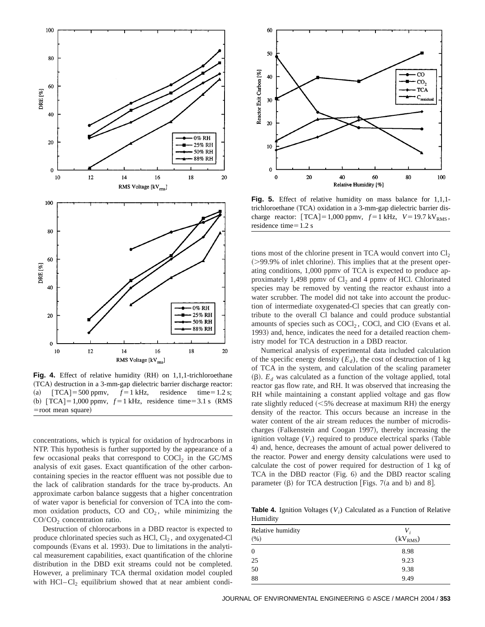

Fig. 4. Effect of relative humidity (RH) on 1,1,1-trichloroethane ~TCA! destruction in a 3-mm-gap dielectric barrier discharge reactor: (a)  $\text{[TCA]} = 500 \text{ ppmv}, \quad f = 1 \text{ kHz}, \quad \text{residence} \quad \text{time} = 1.2 \text{ s};$ (b)  $[TCA] = 1,000$  ppmv,  $f = 1$  kHz, residence time = 3.1 s (RMS)  $=$ root mean square $)$ 

concentrations, which is typical for oxidation of hydrocarbons in NTP. This hypothesis is further supported by the appearance of a few occasional peaks that correspond to  $COCl<sub>2</sub>$  in the  $GC/MS$ analysis of exit gases. Exact quantification of the other carboncontaining species in the reactor effluent was not possible due to the lack of calibration standards for the trace by-products. An approximate carbon balance suggests that a higher concentration of water vapor is beneficial for conversion of TCA into the common oxidation products, CO and  $CO<sub>2</sub>$ , while minimizing the CO/CO<sub>2</sub> concentration ratio.

Destruction of chlorocarbons in a DBD reactor is expected to produce chlorinated species such as  $HCl$ ,  $Cl<sub>2</sub>$ , and oxygenated-Cl compounds (Evans et al. 1993). Due to limitations in the analytical measurement capabilities, exact quantification of the chlorine distribution in the DBD exit streams could not be completed. However, a preliminary TCA thermal oxidation model coupled with  $HCI-Cl<sub>2</sub>$  equilibrium showed that at near ambient condi-



**Fig. 5.** Effect of relative humidity on mass balance for 1,1,1 trichloroethane (TCA) oxidation in a 3-mm-gap dielectric barrier discharge reactor:  $\text{TCA} = 1,000 \text{ ppmv}, f = 1 \text{ kHz}, V = 19.7 \text{ kV}_{RMS},$ residence time $=1.2$  s

tions most of the chlorine present in TCA would convert into  $Cl<sub>2</sub>$  $($ >99.9% of inlet chlorine). This implies that at the present operating conditions, 1,000 ppmv of TCA is expected to produce approximately 1,498 ppmv of  $Cl<sub>2</sub>$  and 4 ppmv of HCl. Chlorinated species may be removed by venting the reactor exhaust into a water scrubber. The model did not take into account the production of intermediate oxygenated-Cl species that can greatly contribute to the overall Cl balance and could produce substantial amounts of species such as  $COCl<sub>2</sub>$ , COCl, and ClO (Evans et al. 1993) and, hence, indicates the need for a detailed reaction chemistry model for TCA destruction in a DBD reactor.

Numerical analysis of experimental data included calculation of the specific energy density  $(E_d)$ , the cost of destruction of 1 kg of TCA in the system, and calculation of the scaling parameter  $(\beta)$ .  $E_d$  was calculated as a function of the voltage applied, total reactor gas flow rate, and RH. It was observed that increasing the RH while maintaining a constant applied voltage and gas flow rate slightly reduced  $(<5\%$  decrease at maximum RH) the energy density of the reactor. This occurs because an increase in the water content of the air stream reduces the number of microdischarges (Falkenstein and Coogan 1997), thereby increasing the ignition voltage  $(V_i)$  required to produce electrical sparks (Table 4) and, hence, decreases the amount of actual power delivered to the reactor. Power and energy density calculations were used to calculate the cost of power required for destruction of 1 kg of  $TCA$  in the DBD reactor (Fig. 6) and the DBD reactor scaling parameter  $(\beta)$  for TCA destruction [Figs. 7(a and b) and 8].

**Table 4.** Ignition Voltages (*V<sub>i</sub>*) Calculated as a Function of Relative Humidity

| Relative humidity<br>(% ) | $V_i$<br>(kV <sub>RMS</sub> ) |
|---------------------------|-------------------------------|
| $\mathbf{0}$              | 8.98                          |
| 25                        | 9.23                          |
| 50                        | 9.38                          |
| 88                        | 9.49                          |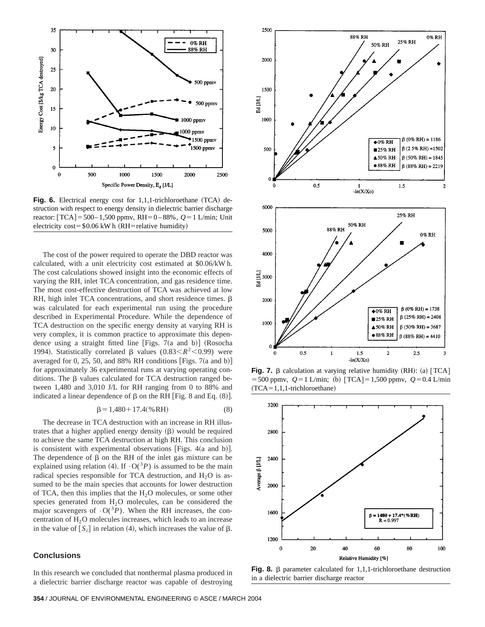

Fig. 6. Electrical energy cost for 1,1,1-trichloroethane (TCA) destruction with respect to energy density in dielectric barrier discharge reactor:  $[TCA] = 500 - 1,500$  ppmv,  $RH = 0 - 88%$ ,  $Q = 1$  L/min; Unit electricity cost= $$0.06$  kW h (RH=relative humidity)

The cost of the power required to operate the DBD reactor was calculated, with a unit electricity cost estimated at \$0.06/kW h. The cost calculations showed insight into the economic effects of varying the RH, inlet TCA concentration, and gas residence time. The most cost-effective destruction of TCA was achieved at low RH, high inlet TCA concentrations, and short residence times.  $\beta$ was calculated for each experimental run using the procedure described in Experimental Procedure. While the dependence of TCA destruction on the specific energy density at varying RH is very complex, it is common practice to approximate this dependence using a straight fitted line [Figs. 7 $(a$  and b] (Rosocha 1994). Statistically correlated  $\beta$  values (0.83 <  $R^2$  < 0.99) were averaged for 0, 25, 50, and 88% RH conditions [Figs. 7(a and b)] for approximately 36 experimental runs at varying operating conditions. The  $\beta$  values calculated for TCA destruction ranged between 1,480 and 3,010 J/L for RH ranging from 0 to 88% and indicated a linear dependence of  $\beta$  on the RH [Fig. 8 and Eq. (8)].

$$
\beta = 1,480 + 17.4(\% RH) \tag{8}
$$

The decrease in TCA destruction with an increase in RH illustrates that a higher applied energy density  $(\beta)$  would be required to achieve the same TCA destruction at high RH. This conclusion is consistent with experimental observations [Figs.  $4(a \text{ and } b)$ ]. The dependence of  $\beta$  on the RH of the inlet gas mixture can be explained using relation (4). If  $\cdot O(^3P)$  is assumed to be the main radical species responsible for TCA destruction, and  $H_2O$  is assumed to be the main species that accounts for lower destruction of TCA, then this implies that the  $H<sub>2</sub>O$  molecules, or some other species generated from  $H_2O$  molecules, can be considered the major scavengers of  $\cdot O({}^3P)$ . When the RH increases, the concentration of  $H<sub>2</sub>O$  molecules increases, which leads to an increase in the value of  $[S_i]$  in relation (4), which increases the value of  $\beta$ .

# **Conclusions**

In this research we concluded that nonthermal plasma produced in a dielectric barrier discharge reactor was capable of destroying





**Fig. 7.**  $\beta$  calculation at varying relative humidity (RH): (a)  $\text{TCA}$  $=$  500 ppmv,  $Q=1$  L/min; (b)  $\text{TCA}$  = 1,500 ppmv,  $Q=0.4$  L/min  $(TCA=1,1,1-trichloroethane)$ 



**Fig. 8.**  $\beta$  parameter calculated for 1,1,1-trichloroethane destruction in a dielectric barrier discharge reactor